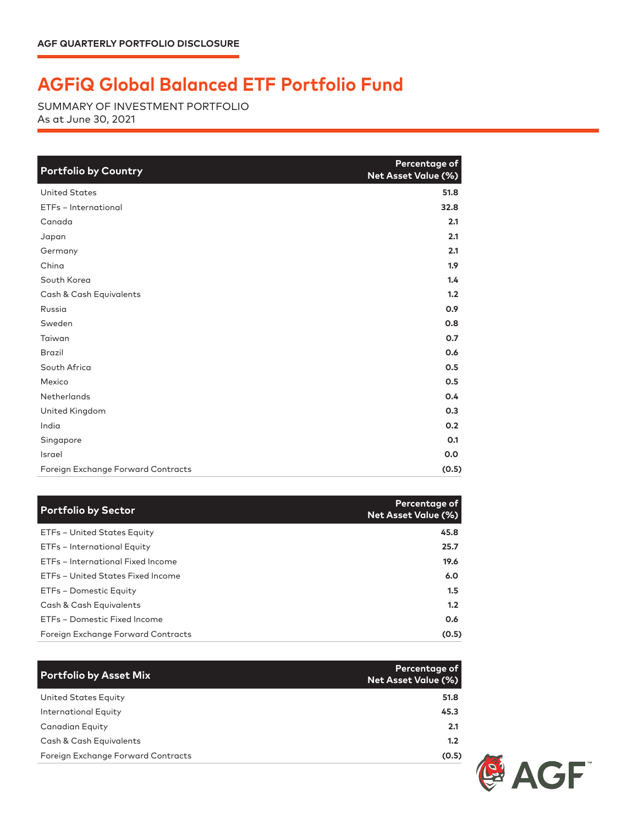## **AGFiQ Global Balanced ETF Portfolio Fund**

SUMMARY OF INVESTMENT PORTFOLIO As at June 30, 2021

| <b>Portfolio by Country</b>        | Percentage of<br><b>Net Asset Value (%)</b> |
|------------------------------------|---------------------------------------------|
| <b>United States</b>               | 51.8                                        |
| ETFs - International               | 32.8                                        |
| Canada                             | 2.1                                         |
| Japan                              | 2.1                                         |
| Germany                            | 2.1                                         |
| China                              | 1.9                                         |
| South Korea                        | 1.4                                         |
| Cash & Cash Equivalents            | 1.2                                         |
| Russia                             | 0.9                                         |
| Sweden                             | 0.8                                         |
| Taiwan                             | 0.7                                         |
| <b>Brazil</b>                      | 0.6                                         |
| South Africa                       | 0.5                                         |
| Mexico                             | 0.5                                         |
| Netherlands                        | 0.4                                         |
| United Kingdom                     | 0.3                                         |
| India                              | 0.2                                         |
| Singapore                          | O.1                                         |
| Israel                             | 0.0                                         |
| Foreign Exchange Forward Contracts | (0.5)                                       |

| <b>Portfolio by Sector</b>         | Percentage of<br><b>Net Asset Value (%)</b> |
|------------------------------------|---------------------------------------------|
| ETFs - United States Equity        | 45.8                                        |
| ETFs - International Equity        | 25.7                                        |
| ETFs - International Fixed Income  | 19.6                                        |
| ETFs - United States Fixed Income  | 6.0                                         |
| ETFs - Domestic Equity             | 1.5                                         |
| Cash & Cash Equivalents            | 1.2                                         |
| ETFs - Domestic Fixed Income       | 0.6                                         |
| Foreign Exchange Forward Contracts | (0.5)                                       |

| <b>Portfolio by Asset Mix</b>      | Percentage of<br><b>Net Asset Value (%)</b> |
|------------------------------------|---------------------------------------------|
| United States Equity               | 51.8                                        |
| International Equity               | 45.3                                        |
| Canadian Equity                    | 2.1                                         |
| Cash & Cash Equivalents            | 1.2                                         |
| Foreign Exchange Forward Contracts | (0.5)                                       |